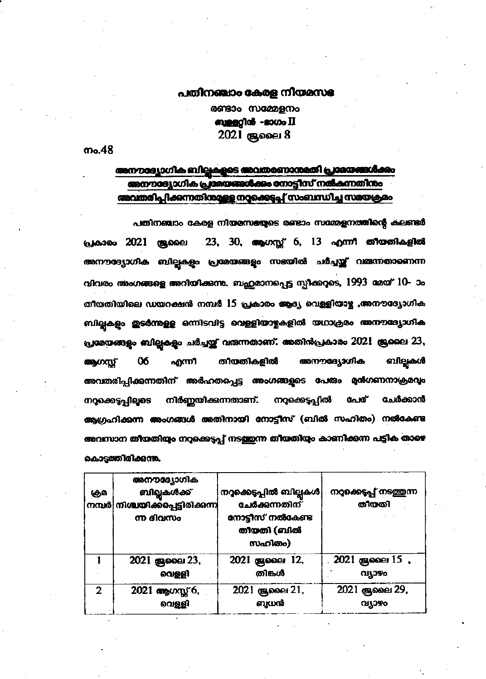## പതിനഞ്ചാം കേരള നിയമസഭ

രണ്ടാം സമ്മേളനം mangglas - novo II 2021 குவை 8

ო.48

## അനൗരദ്വോഗിക ബില്ലകളുടെ അവതരണാനുമതി പ്രദേശങ്ങൾക്കും അനൗദ്യോഗിക പ്രശയങ്ങൾക്കം നോട്ടീസ് നൽകന്നതിനം അവതരിപ്പിക്കന്നതിനാമുള്ള നാക്കെടുപ്പ് സംബന്ധിച്ച സമയക്രമം

പതിനഞ്ചാം കേരള നിയമസഭയുടെ രണ്ടാം സമ്മേളനത്തിന്റെ കലണ്ടർ പ്രകാരം 2021 ജ്രലൈ 23, 30, ആഗസ്റ്റ് 6, 13 എന്നീ തീയതികളിൽ അനൗദ്യോഗിക ബില്ലുകളും പ്രമേയങ്ങളും സഭയിൽ ചർച്ചയ്ക്ക് വരുന്നതാണെന്ന വിവരം അംഗങ്ങളെ അറിയിക്കുന്നു. ബഹുമാനപ്പെട്ട സ്പീക്കറുടെ, 1993 മേയ് 10-ാം തീയതിയിലെ ഡയറക്ഷൻ നമ്പർ 15 പ്രകാരം ആദ്യ വെള്ളിയാഴ്ച ,അനൗദ്യോഗിക ബില്ലകളും തുടർന്നുള്ള ഒന്നിടവിട്ട വെള്ളിയാഴ്ചകളിൽ യഥാക്രമം അനൗദ്യോഗിക പ്രമേയങ്ങളും ബില്ലകളും ചർച്ചയ്ക്ക് വരുന്നതാണ്. അതിൻപ്രകാരം 2021 ജ്രലൈ 23, ബില്ലകൾ 06 തീയതികളിൽ അനൗദ്യോഗിക ആഗസ്സ് എന്നീ അവതരിപ്പിക്കുന്നതിന് അർഹതപ്പെട്ട അംഗങ്ങളുടെ പേരും മുൻഗണനാക്രമവും നിർണ്ണയിക്കുന്നതാണ്. നറ്റക്കെട്ടപ്പിൽ പേര് നറ്റക്കെട്ടപ്പിലൂടെ ചേർക്കാൻ ആഗ്രഹിക്കന്ന അംഗങ്ങൾ അതിനായി നോട്ടീസ് (ബിൽ സഹിതം) നൽകേണ്ട അവസാന തീയതിയും നറുക്കെടുപ്പ് നടത്തുന്ന തീയതിയും കാണിക്കന്ന പട്ടിക താഴെ കൊട്ടത്തിരിക്കുന്നു.

| கும | അനൗദ്യോഗിക<br><b>ബില്ലകൾക്ക്</b><br>'നമ്പർ നിശ്ചയിക്കപ്പെട്ടിരിക്കന്ന <mark>.</mark><br>ന്ന ദിവസം | നറുക്കെടുപ്പിൽ ബില്ലകൾ<br>ചേർക്കന്നതിന്<br>നോട്ടീസ് നൽകേണ്ട<br>തിയതി (ബിൽ<br>സഹിതം) | നറുക്കെടുപ്പ് നടത്തുന്ന<br>തീയതി |
|-----|---------------------------------------------------------------------------------------------------|-------------------------------------------------------------------------------------|----------------------------------|
|     | 2021 ജൂലൈ 23,                                                                                     | 2021 ജ്രലൈ 12,                                                                      | 2021 கு வை 15,                   |
|     | വെള്ളി                                                                                            | തിങ്കൾ                                                                              | <b>QI1390</b>                    |
| 2   | 2021 ആഗസ്റ്റ് 6,                                                                                  | 2021 ജൂലൈ 21,                                                                       | 2021 குவை 29,                    |
|     | വെള്ളി                                                                                            | ബധൻ                                                                                 | വ്യാഴം                           |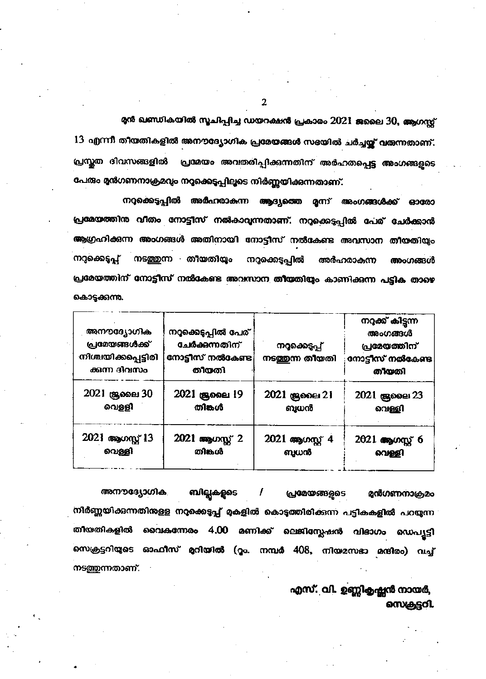മുൻ ഖണ്ഡികയിൽ സൂചിപ്പിച്ച ഡയറക്ഷൻ പ്രകാരം 2021 ജലൈ 30, ആഗസ്റ്റ് 13 എന്നീ തീയതികളിൽ അനൗദ്യോഗിക പ്രമേയങ്ങൾ സഭയിൽ ചർച്ചയ്ക്ക് വരുന്നതാണ്. പ്രസ്തത ദിവസങ്ങളിൽ പ്രമേയം അവതരിപ്പിക്കുന്നതിന് അർഹതപ്പെട്ട അംഗങ്ങളുടെ പേരും മുൻഗണനാക്രമവും നറുക്കെടുപ്പിലൂടെ നിർണ്ണയിക്കുന്നതാണ്.

നറുക്കെടുപ്പിൽ അർഹരാകന്ന ആദ്യത്തെ മൂന്ന് അംഗങ്ങൾക്ക് ഓരോ പ്രമേയത്തിനു വിതം നോട്ടീസ് നൽകാവുന്നതാണ്. നറ്റക്കെട്ടപ്പിൽ പേര് ചേർക്കാൻ ആഗ്രഹിക്കുന്ന അംഗങ്ങൾ അതിനായി നോട്ടീസ് നൽകേണ്ട അവസാന തീയതിയും നടത്തുന്ന തീയതിയും നറ്റക്കെട്ടപ്പ് നറ്റക്കെടുപ്പിൽ അർഹരാകന്ന അംഗങ്ങൾ പ്രമേയത്തിന് നോട്ടീസ് നൽകേണ്ട അവസാന തീയതിയും കാണിക്കുന്ന പട്ടിക താഴെ കൊടുക്കുന്നു.

| അനൗദ്യോഗിക<br>പ്രമയങ്ങൾക്ക്<br>നിശ്ചയിക്കപ്പെട്ടിരി<br>ക്കന്ന ദിവസം | നറ്റക്കെടുപ്പിൽ പേര്<br>ചേർക്കന്നതിന്<br>നോട്ടീസ് നൽകേണ്ട<br>തീയതി | നറക്കെടപ്പ്<br>നടത്തന്ന തീയതി | നറുക്ക് കിട്ടന്ന<br>അംഗങ്ങൾ<br>പ്രമേയത്തിന്<br>നോട്ടീസ് നൽകേണ്ട<br>തീയതി |
|---------------------------------------------------------------------|--------------------------------------------------------------------|-------------------------------|--------------------------------------------------------------------------|
| 2021 ജ്രലൈ 30                                                       | 2021 ശ്രമൈ 19                                                      | 2021 ജൂലൈ 21                  | 2021 ജൂലൈ 23                                                             |
| വെള്ളി                                                              | തിങ്കൾ                                                             | ബധൻ                           | വെള്ളി                                                                   |
| 2021 ആഗസ്റ്റ് 13                                                    | 2021 ആഗസ്റ്റ് 2                                                    | 2021 ആഗസ്റ്റ് 4               | 2021 ആഗസ്റ്റ് 6                                                          |
| വെള്ളി                                                              | തിങ്കൾ                                                             | ബധൻ                           | വെള്ളി                                                                   |

ബില്ലകളുടെ അനൗദ്യോഗിക മുൻഗണനാക്രമം **പ്രമേയങ്ങളുടെ** നിർണ്ണയിക്കന്നതിനുള്ള നറുക്കെടുപ്പ് മുകളിൽ കൊടുത്തിരിക്കന്ന പട്ടികകളിൽ പറയുന്ന തീയതികളിൽ വൈകന്നേരം 4.00 മണിക്ക് ലെജിസ്ലേഷൻ വിഭാഗം ഡെപ്യൂട്ടി സെക്രട്ടറിയുടെ ഓഫീസ് മറിയിൽ (റൂം. നമ്പർ 408, നിയമസഭാ മന്ദിരം) വച്ച് നടത്തുന്നതാണ്.

> എസ്. വി. ഉണ്ണികൃഷ്ണൻ നായർ, സെക്രട്ടറി

 $\overline{2}$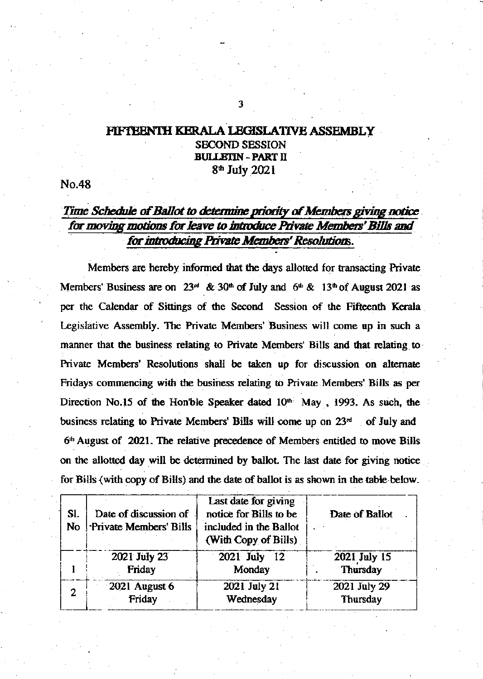## FIFTEENTH KERALA LEGISLATIVE ASSEMBLY **SECOND SESSION BULLETIN - PART II** 8<sup>th</sup> July 2021

No.48

## Time Schedule of Ballot to determine priority of Members giving notice for moving motions for leave to introduce Private Members' Bills and for introducing Private Members' Resolutions.

Members are hereby informed that the days allotted for transacting Private Members' Business are on 23<sup>nd</sup> & 30<sup>th</sup> of July and  $6<sup>th</sup>$  & 13<sup>th</sup> of August 2021 as per the Calendar of Sittings of the Second Session of the Fifteenth Kerala Legislative Assembly. The Private Members' Business will come up in such a manner that the business relating to Private Members' Bills and that relating to Private Members' Resolutions shall be taken up for discussion on alternate Fridays commencing with the business relating to Private Members' Bills as per Direction No.15 of the Hon'ble Speaker dated 10<sup>th</sup> May, 1993. As such, the business relating to Private Members' Bills will come up on 23<sup>rd</sup> of July and 6<sup>th</sup> August of 2021. The relative precedence of Members entitled to move Bills on the allotted day will be determined by ballot. The last date for giving notice for Bills (with copy of Bills) and the date of ballot is as shown in the table-below.

| SI.<br>No | Date of discussion of<br>Private Members' Bills | Last date for giving<br>notice for Bills to be<br>included in the Ballot<br>(With Copy of Bills) | Date of Ballot |
|-----------|-------------------------------------------------|--------------------------------------------------------------------------------------------------|----------------|
|           | 2021 July 23                                    | 2021 July 12                                                                                     | 2021 July 15   |
|           | Friday                                          | Monday                                                                                           | Thursday       |
| 2         | 2021 August 6                                   | 2021 July 21                                                                                     | 2021 July 29   |
|           | Friday                                          | Wednesday                                                                                        | Thursday       |